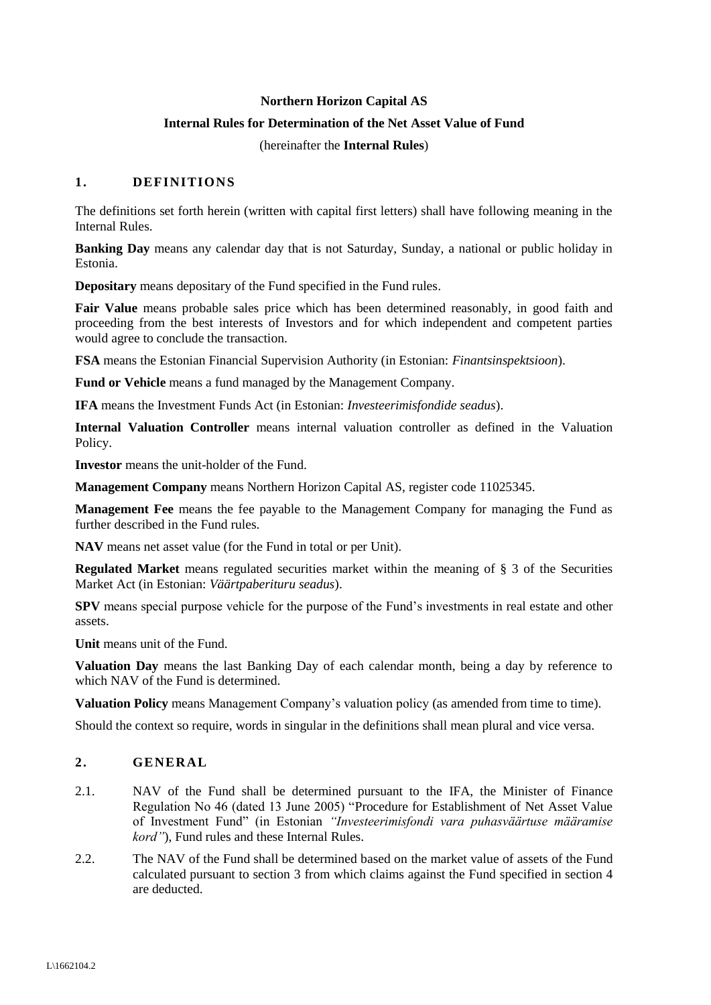# **Northern Horizon Capital AS**

### **Internal Rules for Determination of the Net Asset Value of Fund**

(hereinafter the **Internal Rules**)

# **1. DEFINITIONS**

The definitions set forth herein (written with capital first letters) shall have following meaning in the Internal Rules.

**Banking Day** means any calendar day that is not Saturday, Sunday, a national or public holiday in Estonia.

**Depositary** means depositary of the Fund specified in the Fund rules.

**Fair Value** means probable sales price which has been determined reasonably, in good faith and proceeding from the best interests of Investors and for which independent and competent parties would agree to conclude the transaction.

**FSA** means the Estonian Financial Supervision Authority (in Estonian: *Finantsinspektsioon*).

**Fund or Vehicle** means a fund managed by the Management Company.

**IFA** means the Investment Funds Act (in Estonian: *Investeerimisfondide seadus*).

**Internal Valuation Controller** means internal valuation controller as defined in the Valuation Policy.

**Investor** means the unit-holder of the Fund.

**Management Company** means Northern Horizon Capital AS, register code 11025345.

**Management Fee** means the fee payable to the Management Company for managing the Fund as further described in the Fund rules.

**NAV** means net asset value (for the Fund in total or per Unit).

**Regulated Market** means regulated securities market within the meaning of § 3 of the Securities Market Act (in Estonian: *Väärtpaberituru seadus*).

**SPV** means special purpose vehicle for the purpose of the Fund's investments in real estate and other assets.

**Unit** means unit of the Fund.

**Valuation Day** means the last Banking Day of each calendar month, being a day by reference to which NAV of the Fund is determined.

**Valuation Policy** means Management Company's valuation policy (as amended from time to time).

Should the context so require, words in singular in the definitions shall mean plural and vice versa.

# **2. GENERAL**

- 2.1. NAV of the Fund shall be determined pursuant to the IFA, the Minister of Finance Regulation No 46 (dated 13 June 2005) "Procedure for Establishment of Net Asset Value of Investment Fund" (in Estonian *"Investeerimisfondi vara puhasväärtuse määramise kord"*), Fund rules and these Internal Rules.
- 2.2. The NAV of the Fund shall be determined based on the market value of assets of the Fund calculated pursuant to section [3](#page-1-0) from which claims against the Fund specified in section [4](#page-3-0) are deducted.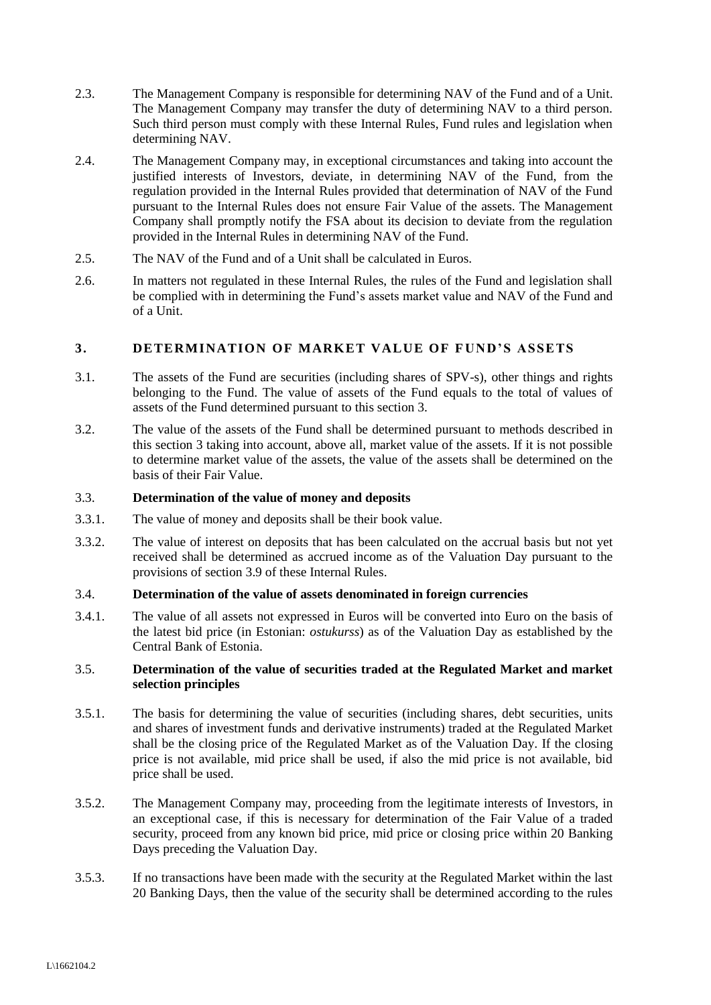- 2.3. The Management Company is responsible for determining NAV of the Fund and of a Unit. The Management Company may transfer the duty of determining NAV to a third person. Such third person must comply with these Internal Rules, Fund rules and legislation when determining NAV.
- 2.4. The Management Company may, in exceptional circumstances and taking into account the justified interests of Investors, deviate, in determining NAV of the Fund, from the regulation provided in the Internal Rules provided that determination of NAV of the Fund pursuant to the Internal Rules does not ensure Fair Value of the assets. The Management Company shall promptly notify the FSA about its decision to deviate from the regulation provided in the Internal Rules in determining NAV of the Fund.
- 2.5. The NAV of the Fund and of a Unit shall be calculated in Euros.
- 2.6. In matters not regulated in these Internal Rules, the rules of the Fund and legislation shall be complied with in determining the Fund's assets market value and NAV of the Fund and of a Unit.

# <span id="page-1-0"></span>**3. DETERMINATION OF MARKET VALUE OF FUND'S ASSETS**

- 3.1. The assets of the Fund are securities (including shares of SPV-s), other things and rights belonging to the Fund. The value of assets of the Fund equals to the total of values of assets of the Fund determined pursuant to this section [3.](#page-1-0)
- 3.2. The value of the assets of the Fund shall be determined pursuant to methods described in this section [3](#page-1-0) taking into account, above all, market value of the assets. If it is not possible to determine market value of the assets, the value of the assets shall be determined on the basis of their Fair Value.

#### 3.3. **Determination of the value of money and deposits**

- 3.3.1. The value of money and deposits shall be their book value.
- 3.3.2. The value of interest on deposits that has been calculated on the accrual basis but not yet received shall be determined as accrued income as of the Valuation Day pursuant to the provisions of section [3.9](#page-3-1) of these Internal Rules.

# 3.4. **Determination of the value of assets denominated in foreign currencies**

3.4.1. The value of all assets not expressed in Euros will be converted into Euro on the basis of the latest bid price (in Estonian: *ostukurss*) as of the Valuation Day as established by the Central Bank of Estonia.

### 3.5. **Determination of the value of securities traded at the Regulated Market and market selection principles**

- 3.5.1. The basis for determining the value of securities (including shares, debt securities, units and shares of investment funds and derivative instruments) traded at the Regulated Market shall be the closing price of the Regulated Market as of the Valuation Day. If the closing price is not available, mid price shall be used, if also the mid price is not available, bid price shall be used.
- 3.5.2. The Management Company may, proceeding from the legitimate interests of Investors, in an exceptional case, if this is necessary for determination of the Fair Value of a traded security, proceed from any known bid price, mid price or closing price within 20 Banking Days preceding the Valuation Day.
- 3.5.3. If no transactions have been made with the security at the Regulated Market within the last 20 Banking Days, then the value of the security shall be determined according to the rules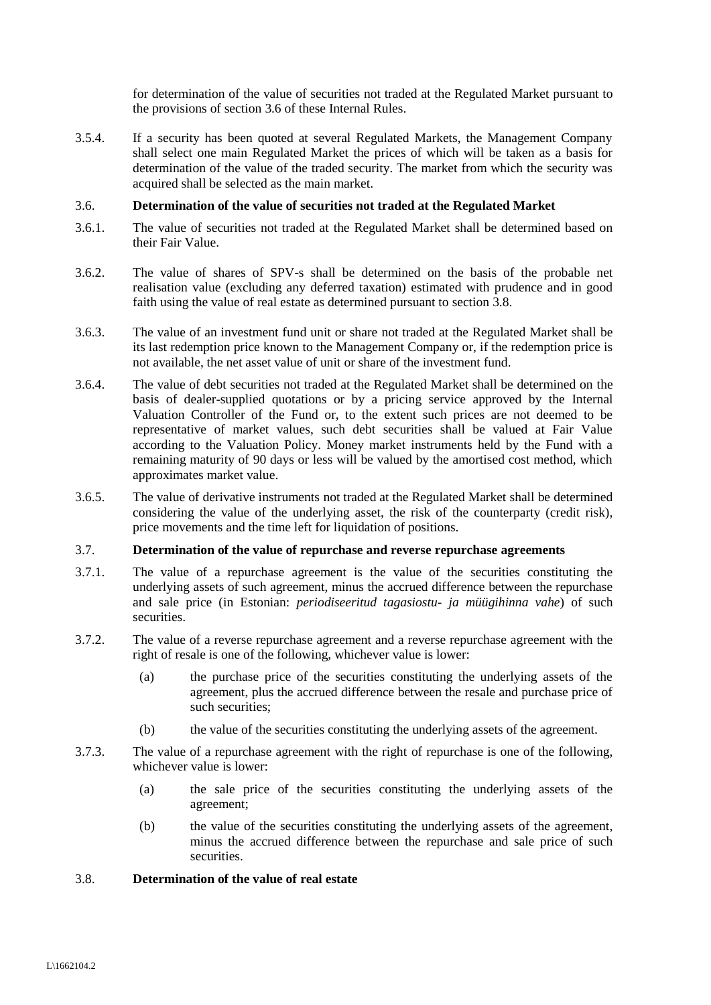for determination of the value of securities not traded at the Regulated Market pursuant to the provisions of section [3.6](#page-2-0) of these Internal Rules.

3.5.4. If a security has been quoted at several Regulated Markets, the Management Company shall select one main Regulated Market the prices of which will be taken as a basis for determination of the value of the traded security. The market from which the security was acquired shall be selected as the main market.

### <span id="page-2-0"></span>3.6. **Determination of the value of securities not traded at the Regulated Market**

- 3.6.1. The value of securities not traded at the Regulated Market shall be determined based on their Fair Value.
- 3.6.2. The value of shares of SPV-s shall be determined on the basis of the probable net realisation value (excluding any deferred taxation) estimated with prudence and in good faith using the value of real estate as determined pursuant to section [3.8.](#page-2-1)
- 3.6.3. The value of an investment fund unit or share not traded at the Regulated Market shall be its last redemption price known to the Management Company or, if the redemption price is not available, the net asset value of unit or share of the investment fund.
- 3.6.4. The value of debt securities not traded at the Regulated Market shall be determined on the basis of dealer-supplied quotations or by a pricing service approved by the Internal Valuation Controller of the Fund or, to the extent such prices are not deemed to be representative of market values, such debt securities shall be valued at Fair Value according to the Valuation Policy. Money market instruments held by the Fund with a remaining maturity of 90 days or less will be valued by the amortised cost method, which approximates market value.
- 3.6.5. The value of derivative instruments not traded at the Regulated Market shall be determined considering the value of the underlying asset, the risk of the counterparty (credit risk), price movements and the time left for liquidation of positions.

### 3.7. **Determination of the value of repurchase and reverse repurchase agreements**

- 3.7.1. The value of a repurchase agreement is the value of the securities constituting the underlying assets of such agreement, minus the accrued difference between the repurchase and sale price (in Estonian: *periodiseeritud tagasiostu- ja müügihinna vahe*) of such securities.
- 3.7.2. The value of a reverse repurchase agreement and a reverse repurchase agreement with the right of resale is one of the following, whichever value is lower:
	- (a) the purchase price of the securities constituting the underlying assets of the agreement, plus the accrued difference between the resale and purchase price of such securities:
	- (b) the value of the securities constituting the underlying assets of the agreement.
- 3.7.3. The value of a repurchase agreement with the right of repurchase is one of the following, whichever value is lower:
	- (a) the sale price of the securities constituting the underlying assets of the agreement;
	- (b) the value of the securities constituting the underlying assets of the agreement, minus the accrued difference between the repurchase and sale price of such securities.

#### <span id="page-2-1"></span>3.8. **Determination of the value of real estate**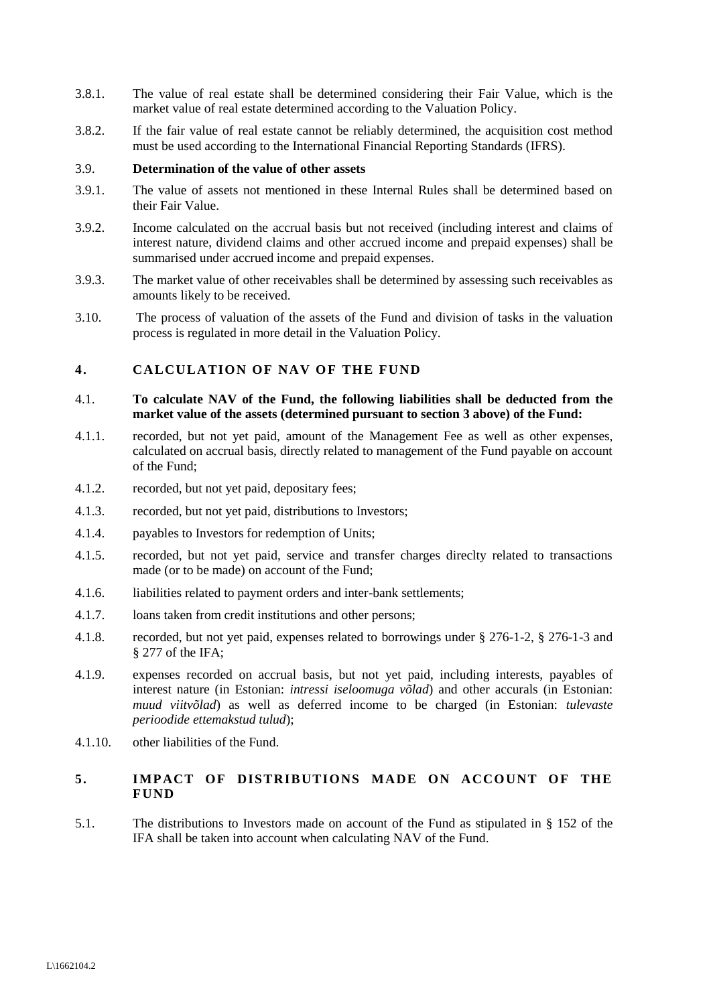- 3.8.1. The value of real estate shall be determined considering their Fair Value, which is the market value of real estate determined according to the Valuation Policy.
- 3.8.2. If the fair value of real estate cannot be reliably determined, the acquisition cost method must be used according to the International Financial Reporting Standards (IFRS).

#### <span id="page-3-1"></span>3.9. **Determination of the value of other assets**

- 3.9.1. The value of assets not mentioned in these Internal Rules shall be determined based on their Fair Value.
- 3.9.2. Income calculated on the accrual basis but not received (including interest and claims of interest nature, dividend claims and other accrued income and prepaid expenses) shall be summarised under accrued income and prepaid expenses.
- 3.9.3. The market value of other receivables shall be determined by assessing such receivables as amounts likely to be received.
- 3.10. The process of valuation of the assets of the Fund and division of tasks in the valuation process is regulated in more detail in the Valuation Policy.

# <span id="page-3-0"></span>**4. CALCULATION OF NAV OF THE FUND**

## 4.1. **To calculate NAV of the Fund, the following liabilities shall be deducted from the market value of the assets (determined pursuant to sectio[n 3](#page-1-0) above) of the Fund:**

- 4.1.1. recorded, but not yet paid, amount of the Management Fee as well as other expenses, calculated on accrual basis, directly related to management of the Fund payable on account of the Fund;
- 4.1.2. recorded, but not yet paid, depositary fees;
- 4.1.3. recorded, but not yet paid, distributions to Investors;
- 4.1.4. payables to Investors for redemption of Units;
- 4.1.5. recorded, but not yet paid, service and transfer charges direclty related to transactions made (or to be made) on account of the Fund;
- 4.1.6. liabilities related to payment orders and inter-bank settlements;
- 4.1.7. loans taken from credit institutions and other persons;
- 4.1.8. recorded, but not yet paid, expenses related to borrowings under § 276-1-2, § 276-1-3 and § 277 of the IFA;
- 4.1.9. expenses recorded on accrual basis, but not yet paid, including interests, payables of interest nature (in Estonian: *intressi iseloomuga võlad*) and other accurals (in Estonian: *muud viitvõlad*) as well as deferred income to be charged (in Estonian: *tulevaste perioodide ettemakstud tulud*);
- 4.1.10. other liabilities of the Fund.

# **5. IMPACT OF DISTRIBUTIONS MADE ON ACCOUNT OF THE FUND**

5.1. The distributions to Investors made on account of the Fund as stipulated in § 152 of the IFA shall be taken into account when calculating NAV of the Fund.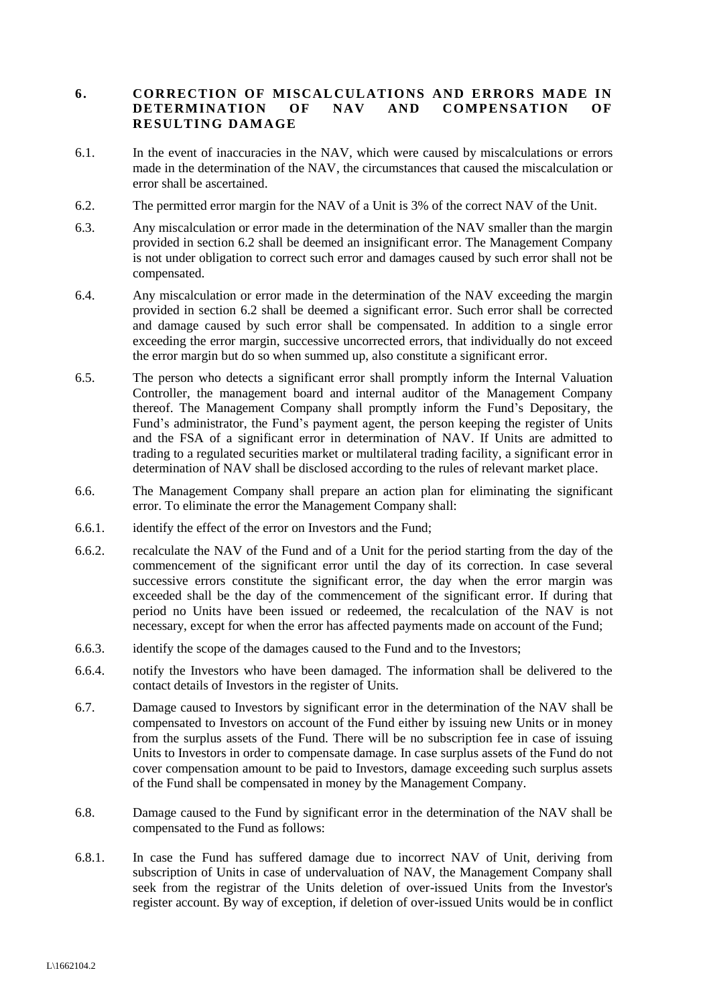## **6. CORRECTION OF MISCALCULATIONS AND ERRORS MADE IN DETERMINATION OF NAV AND COMPENSATION OF RESULTING DAMAGE**

- 6.1. In the event of inaccuracies in the NAV, which were caused by miscalculations or errors made in the determination of the NAV, the circumstances that caused the miscalculation or error shall be ascertained.
- <span id="page-4-0"></span>6.2. The permitted error margin for the NAV of a Unit is 3% of the correct NAV of the Unit.
- 6.3. Any miscalculation or error made in the determination of the NAV smaller than the margin provided in section [6.2](#page-4-0) shall be deemed an insignificant error. The Management Company is not under obligation to correct such error and damages caused by such error shall not be compensated.
- 6.4. Any miscalculation or error made in the determination of the NAV exceeding the margin provided in section [6.2](#page-4-0) shall be deemed a significant error. Such error shall be corrected and damage caused by such error shall be compensated. In addition to a single error exceeding the error margin, successive uncorrected errors, that individually do not exceed the error margin but do so when summed up, also constitute a significant error.
- 6.5. The person who detects a significant error shall promptly inform the Internal Valuation Controller, the management board and internal auditor of the Management Company thereof. The Management Company shall promptly inform the Fund's Depositary, the Fund's administrator, the Fund's payment agent, the person keeping the register of Units and the FSA of a significant error in determination of NAV. If Units are admitted to trading to a regulated securities market or multilateral trading facility, a significant error in determination of NAV shall be disclosed according to the rules of relevant market place.
- 6.6. The Management Company shall prepare an action plan for eliminating the significant error. To eliminate the error the Management Company shall:
- 6.6.1. identify the effect of the error on Investors and the Fund;
- 6.6.2. recalculate the NAV of the Fund and of a Unit for the period starting from the day of the commencement of the significant error until the day of its correction. In case several successive errors constitute the significant error, the day when the error margin was exceeded shall be the day of the commencement of the significant error. If during that period no Units have been issued or redeemed, the recalculation of the NAV is not necessary, except for when the error has affected payments made on account of the Fund;
- 6.6.3. identify the scope of the damages caused to the Fund and to the Investors;
- 6.6.4. notify the Investors who have been damaged. The information shall be delivered to the contact details of Investors in the register of Units.
- 6.7. Damage caused to Investors by significant error in the determination of the NAV shall be compensated to Investors on account of the Fund either by issuing new Units or in money from the surplus assets of the Fund. There will be no subscription fee in case of issuing Units to Investors in order to compensate damage. In case surplus assets of the Fund do not cover compensation amount to be paid to Investors, damage exceeding such surplus assets of the Fund shall be compensated in money by the Management Company.
- 6.8. Damage caused to the Fund by significant error in the determination of the NAV shall be compensated to the Fund as follows:
- 6.8.1. In case the Fund has suffered damage due to incorrect NAV of Unit, deriving from subscription of Units in case of undervaluation of NAV, the Management Company shall seek from the registrar of the Units deletion of over-issued Units from the Investor's register account. By way of exception, if deletion of over-issued Units would be in conflict